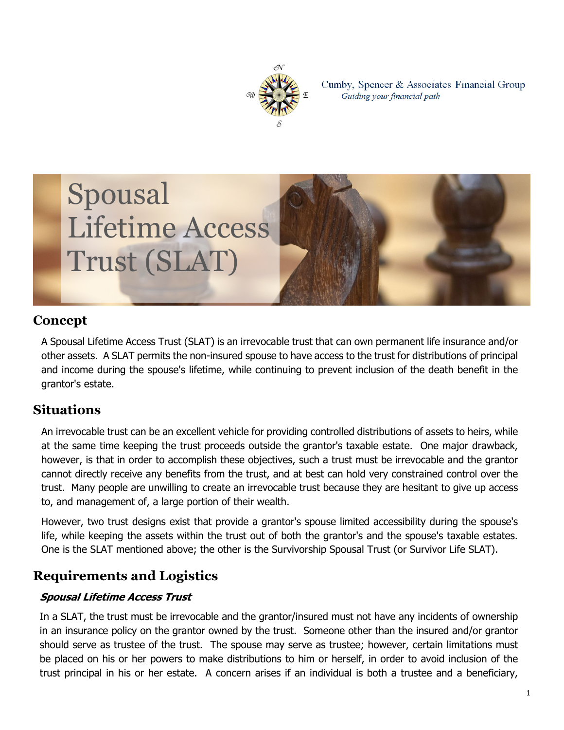

Cumby, Spencer & Associates Financial Group Guiding your financial path



## **Concept**

A Spousal Lifetime Access Trust (SLAT) is an irrevocable trust that can own permanent life insurance and/or other assets. A SLAT permits the non-insured spouse to have access to the trust for distributions of principal and income during the spouse's lifetime, while continuing to prevent inclusion of the death benefit in the grantor's estate.

## **Situations**

An irrevocable trust can be an excellent vehicle for providing controlled distributions of assets to heirs, while at the same time keeping the trust proceeds outside the grantor's taxable estate. One major drawback, however, is that in order to accomplish these objectives, such a trust must be irrevocable and the grantor cannot directly receive any benefits from the trust, and at best can hold very constrained control over the trust. Many people are unwilling to create an irrevocable trust because they are hesitant to give up access to, and management of, a large portion of their wealth.

However, two trust designs exist that provide a grantor's spouse limited accessibility during the spouse's life, while keeping the assets within the trust out of both the grantor's and the spouse's taxable estates. One is the SLAT mentioned above; the other is the Survivorship Spousal Trust (or Survivor Life SLAT).

## **Requirements and Logistics**

#### *Spousal Lifetime Access Trust*

In a SLAT, the trust must be irrevocable and the grantor/insured must not have any incidents of ownership in an insurance policy on the grantor owned by the trust. Someone other than the insured and/or grantor should serve as trustee of the trust. The spouse may serve as trustee; however, certain limitations must be placed on his or her powers to make distributions to him or herself, in order to avoid inclusion of the trust principal in his or her estate. A concern arises if an individual is both a trustee and a beneficiary,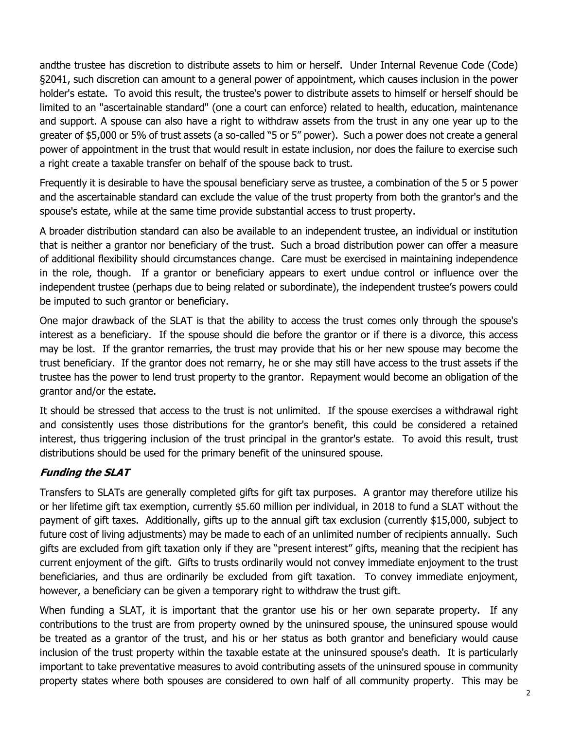andthe trustee has discretion to distribute assets to him or herself. Under Internal Revenue Code (Code) §2041, such discretion can amount to a general power of appointment, which causes inclusion in the power holder's estate. To avoid this result, the trustee's power to distribute assets to himself or herself should be limited to an "ascertainable standard" (one a court can enforce) related to health, education, maintenance and support. A spouse can also have a right to withdraw assets from the trust in any one year up to the greater of \$5,000 or 5% of trust assets (a so-called "5 or 5" power). Such a power does not create a general power of appointment in the trust that would result in estate inclusion, nor does the failure to exercise such a right create a taxable transfer on behalf of the spouse back to trust.

Frequently it is desirable to have the spousal beneficiary serve as trustee, a combination of the 5 or 5 power and the ascertainable standard can exclude the value of the trust property from both the grantor's and the spouse's estate, while at the same time provide substantial access to trust property.

A broader distribution standard can also be available to an independent trustee, an individual or institution that is neither a grantor nor beneficiary of the trust. Such a broad distribution power can offer a measure of additional flexibility should circumstances change. Care must be exercised in maintaining independence in the role, though. If a grantor or beneficiary appears to exert undue control or influence over the independent trustee (perhaps due to being related or subordinate), the independent trustee's powers could be imputed to such grantor or beneficiary.

One major drawback of the SLAT is that the ability to access the trust comes only through the spouse's interest as a beneficiary. If the spouse should die before the grantor or if there is a divorce, this access may be lost. If the grantor remarries, the trust may provide that his or her new spouse may become the trust beneficiary. If the grantor does not remarry, he or she may still have access to the trust assets if the trustee has the power to lend trust property to the grantor. Repayment would become an obligation of the grantor and/or the estate.

It should be stressed that access to the trust is not unlimited. If the spouse exercises a withdrawal right and consistently uses those distributions for the grantor's benefit, this could be considered a retained interest, thus triggering inclusion of the trust principal in the grantor's estate. To avoid this result, trust distributions should be used for the primary benefit of the uninsured spouse.

#### *Funding the SLAT*

Transfers to SLATs are generally completed gifts for gift tax purposes. A grantor may therefore utilize his or her lifetime gift tax exemption, currently \$5.60 million per individual, in 2018 to fund a SLAT without the payment of gift taxes. Additionally, gifts up to the annual gift tax exclusion (currently \$15,000, subject to future cost of living adjustments) may be made to each of an unlimited number of recipients annually. Such gifts are excluded from gift taxation only if they are "present interest" gifts, meaning that the recipient has current enjoyment of the gift. Gifts to trusts ordinarily would not convey immediate enjoyment to the trust beneficiaries, and thus are ordinarily be excluded from gift taxation. To convey immediate enjoyment, however, a beneficiary can be given a temporary right to withdraw the trust gift.

When funding a SLAT, it is important that the grantor use his or her own separate property. If any contributions to the trust are from property owned by the uninsured spouse, the uninsured spouse would be treated as a grantor of the trust, and his or her status as both grantor and beneficiary would cause inclusion of the trust property within the taxable estate at the uninsured spouse's death. It is particularly important to take preventative measures to avoid contributing assets of the uninsured spouse in community property states where both spouses are considered to own half of all community property. This may be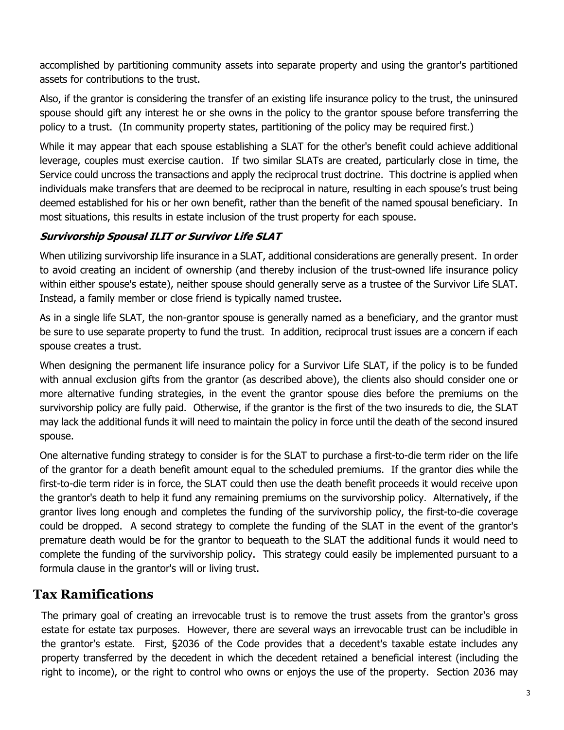accomplished by partitioning community assets into separate property and using the grantor's partitioned assets for contributions to the trust.

Also, if the grantor is considering the transfer of an existing life insurance policy to the trust, the uninsured spouse should gift any interest he or she owns in the policy to the grantor spouse before transferring the policy to a trust. (In community property states, partitioning of the policy may be required first.)

While it may appear that each spouse establishing a SLAT for the other's benefit could achieve additional leverage, couples must exercise caution. If two similar SLATs are created, particularly close in time, the Service could uncross the transactions and apply the reciprocal trust doctrine. This doctrine is applied when individuals make transfers that are deemed to be reciprocal in nature, resulting in each spouse's trust being deemed established for his or her own benefit, rather than the benefit of the named spousal beneficiary. In most situations, this results in estate inclusion of the trust property for each spouse.

#### *Survivorship Spousal ILIT or Survivor Life SLAT*

When utilizing survivorship life insurance in a SLAT, additional considerations are generally present. In order to avoid creating an incident of ownership (and thereby inclusion of the trust-owned life insurance policy within either spouse's estate), neither spouse should generally serve as a trustee of the Survivor Life SLAT. Instead, a family member or close friend is typically named trustee.

As in a single life SLAT, the non-grantor spouse is generally named as a beneficiary, and the grantor must be sure to use separate property to fund the trust. In addition, reciprocal trust issues are a concern if each spouse creates a trust.

When designing the permanent life insurance policy for a Survivor Life SLAT, if the policy is to be funded with annual exclusion gifts from the grantor (as described above), the clients also should consider one or more alternative funding strategies, in the event the grantor spouse dies before the premiums on the survivorship policy are fully paid. Otherwise, if the grantor is the first of the two insureds to die, the SLAT may lack the additional funds it will need to maintain the policy in force until the death of the second insured spouse.

One alternative funding strategy to consider is for the SLAT to purchase a first-to-die term rider on the life of the grantor for a death benefit amount equal to the scheduled premiums. If the grantor dies while the first-to-die term rider is in force, the SLAT could then use the death benefit proceeds it would receive upon the grantor's death to help it fund any remaining premiums on the survivorship policy. Alternatively, if the grantor lives long enough and completes the funding of the survivorship policy, the first-to-die coverage could be dropped. A second strategy to complete the funding of the SLAT in the event of the grantor's premature death would be for the grantor to bequeath to the SLAT the additional funds it would need to complete the funding of the survivorship policy. This strategy could easily be implemented pursuant to a formula clause in the grantor's will or living trust.

## **Tax Ramifications**

The primary goal of creating an irrevocable trust is to remove the trust assets from the grantor's gross estate for estate tax purposes. However, there are several ways an irrevocable trust can be includible in the grantor's estate. First, §2036 of the Code provides that a decedent's taxable estate includes any property transferred by the decedent in which the decedent retained a beneficial interest (including the right to income), or the right to control who owns or enjoys the use of the property. Section 2036 may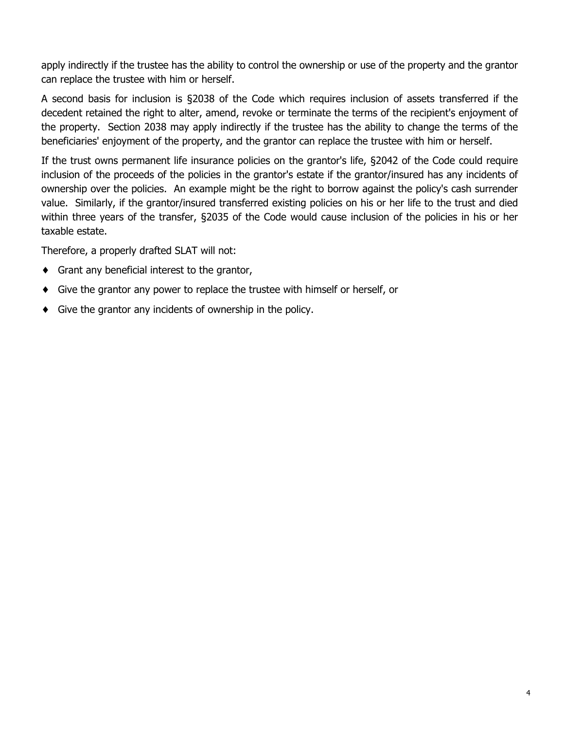apply indirectly if the trustee has the ability to control the ownership or use of the property and the grantor can replace the trustee with him or herself.

A second basis for inclusion is §2038 of the Code which requires inclusion of assets transferred if the decedent retained the right to alter, amend, revoke or terminate the terms of the recipient's enjoyment of the property. Section 2038 may apply indirectly if the trustee has the ability to change the terms of the beneficiaries' enjoyment of the property, and the grantor can replace the trustee with him or herself.

If the trust owns permanent life insurance policies on the grantor's life, §2042 of the Code could require inclusion of the proceeds of the policies in the grantor's estate if the grantor/insured has any incidents of ownership over the policies. An example might be the right to borrow against the policy's cash surrender value. Similarly, if the grantor/insured transferred existing policies on his or her life to the trust and died within three years of the transfer, §2035 of the Code would cause inclusion of the policies in his or her taxable estate.

Therefore, a properly drafted SLAT will not:

- $\bullet$  Grant any beneficial interest to the grantor,
- ♦ Give the grantor any power to replace the trustee with himself or herself, or
- $\bullet$  Give the grantor any incidents of ownership in the policy.